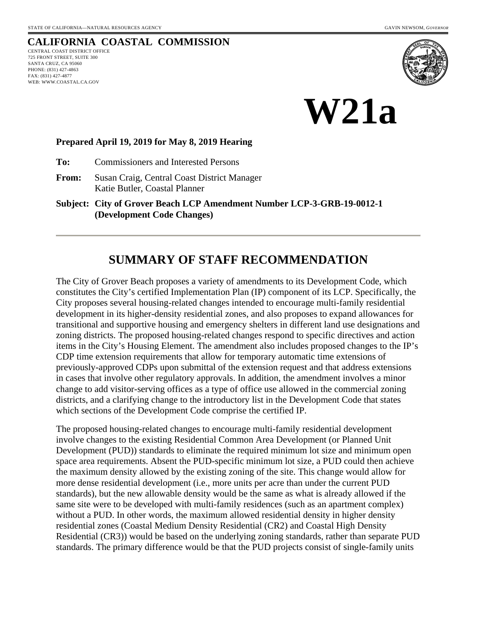### **CALIFORNIA COASTAL COMMISSION**

CENTRAL COAST DISTRICT OFFICE 725 FRONT STREET, SUITE 300 SANTA CRUZ, CA 95060 PHONE: (831) 427-4863 FAX: (831) 427-4877 WEB: WWW.COASTAL.CA.GOV





#### **Prepared April 19, 2019 for May 8, 2019 Hearing**

**To:** Commissioners and Interested Persons

**From:** Susan Craig, Central Coast District Manager Katie Butler, Coastal Planner

**Subject: City of Grover Beach LCP Amendment Number LCP-3-GRB-19-0012-1 (Development Code Changes)**

# **SUMMARY OF STAFF RECOMMENDATION**

The City of Grover Beach proposes a variety of amendments to its Development Code, which constitutes the City's certified Implementation Plan (IP) component of its LCP. Specifically, the City proposes several housing-related changes intended to encourage multi-family residential development in its higher-density residential zones, and also proposes to expand allowances for transitional and supportive housing and emergency shelters in different land use designations and zoning districts. The proposed housing-related changes respond to specific directives and action items in the City's Housing Element. The amendment also includes proposed changes to the IP's CDP time extension requirements that allow for temporary automatic time extensions of previously-approved CDPs upon submittal of the extension request and that address extensions in cases that involve other regulatory approvals. In addition, the amendment involves a minor change to add visitor-serving offices as a type of office use allowed in the commercial zoning districts, and a clarifying change to the introductory list in the Development Code that states which sections of the Development Code comprise the certified IP.

The proposed housing-related changes to encourage multi-family residential development involve changes to the existing Residential Common Area Development (or Planned Unit Development (PUD)) standards to eliminate the required minimum lot size and minimum open space area requirements. Absent the PUD-specific minimum lot size, a PUD could then achieve the maximum density allowed by the existing zoning of the site. This change would allow for more dense residential development (i.e., more units per acre than under the current PUD standards), but the new allowable density would be the same as what is already allowed if the same site were to be developed with multi-family residences (such as an apartment complex) without a PUD. In other words, the maximum allowed residential density in higher density residential zones (Coastal Medium Density Residential (CR2) and Coastal High Density Residential (CR3)) would be based on the underlying zoning standards, rather than separate PUD standards. The primary difference would be that the PUD projects consist of single-family units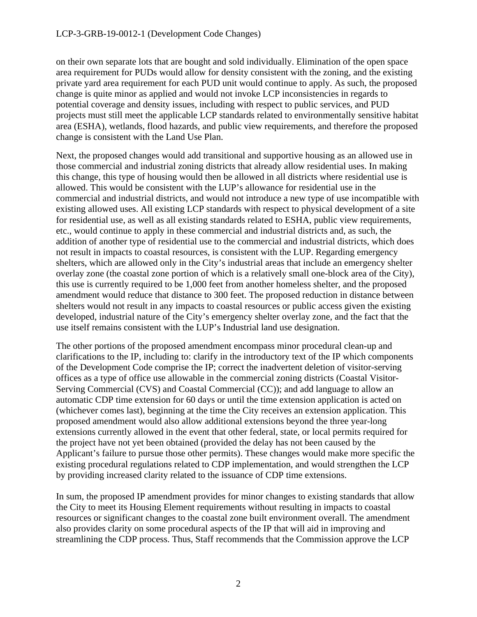on their own separate lots that are bought and sold individually. Elimination of the open space area requirement for PUDs would allow for density consistent with the zoning, and the existing private yard area requirement for each PUD unit would continue to apply. As such, the proposed change is quite minor as applied and would not invoke LCP inconsistencies in regards to potential coverage and density issues, including with respect to public services, and PUD projects must still meet the applicable LCP standards related to environmentally sensitive habitat area (ESHA), wetlands, flood hazards, and public view requirements, and therefore the proposed change is consistent with the Land Use Plan.

Next, the proposed changes would add transitional and supportive housing as an allowed use in those commercial and industrial zoning districts that already allow residential uses. In making this change, this type of housing would then be allowed in all districts where residential use is allowed. This would be consistent with the LUP's allowance for residential use in the commercial and industrial districts, and would not introduce a new type of use incompatible with existing allowed uses. All existing LCP standards with respect to physical development of a site for residential use, as well as all existing standards related to ESHA, public view requirements, etc., would continue to apply in these commercial and industrial districts and, as such, the addition of another type of residential use to the commercial and industrial districts, which does not result in impacts to coastal resources, is consistent with the LUP. Regarding emergency shelters, which are allowed only in the City's industrial areas that include an emergency shelter overlay zone (the coastal zone portion of which is a relatively small one-block area of the City), this use is currently required to be 1,000 feet from another homeless shelter, and the proposed amendment would reduce that distance to 300 feet. The proposed reduction in distance between shelters would not result in any impacts to coastal resources or public access given the existing developed, industrial nature of the City's emergency shelter overlay zone, and the fact that the use itself remains consistent with the LUP's Industrial land use designation.

The other portions of the proposed amendment encompass minor procedural clean-up and clarifications to the IP, including to: clarify in the introductory text of the IP which components of the Development Code comprise the IP; correct the inadvertent deletion of visitor-serving offices as a type of office use allowable in the commercial zoning districts (Coastal Visitor-Serving Commercial (CVS) and Coastal Commercial (CC)); and add language to allow an automatic CDP time extension for 60 days or until the time extension application is acted on (whichever comes last), beginning at the time the City receives an extension application. This proposed amendment would also allow additional extensions beyond the three year-long extensions currently allowed in the event that other federal, state, or local permits required for the project have not yet been obtained (provided the delay has not been caused by the Applicant's failure to pursue those other permits). These changes would make more specific the existing procedural regulations related to CDP implementation, and would strengthen the LCP by providing increased clarity related to the issuance of CDP time extensions.

In sum, the proposed IP amendment provides for minor changes to existing standards that allow the City to meet its Housing Element requirements without resulting in impacts to coastal resources or significant changes to the coastal zone built environment overall. The amendment also provides clarity on some procedural aspects of the IP that will aid in improving and streamlining the CDP process. Thus, Staff recommends that the Commission approve the LCP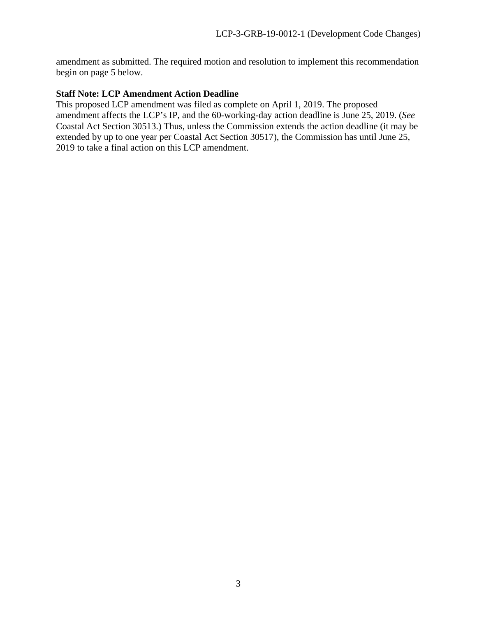amendment as submitted. The required motion and resolution to implement this recommendation begin on page 5 below.

#### **Staff Note: LCP Amendment Action Deadline**

This proposed LCP amendment was filed as complete on April 1, 2019. The proposed amendment affects the LCP's IP, and the 60-working-day action deadline is June 25, 2019. (*See*  Coastal Act Section 30513.) Thus, unless the Commission extends the action deadline (it may be extended by up to one year per Coastal Act Section 30517), the Commission has until June 25, 2019 to take a final action on this LCP amendment.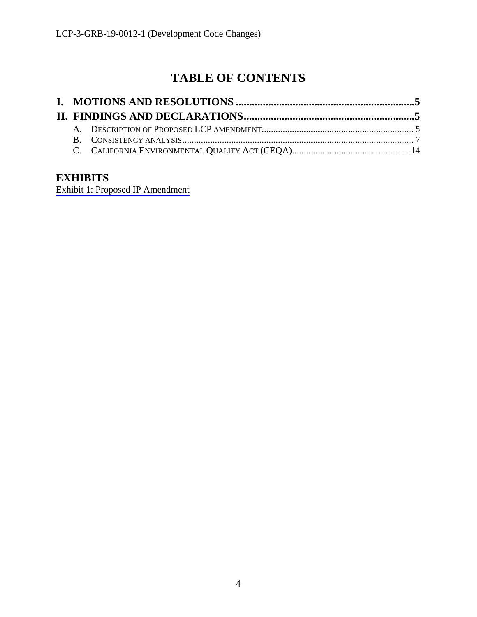# **TABLE OF CONTENTS**

# **EXHIBITS**

[Exhibit 1: Proposed IP Amendment](https://documents.coastal.ca.gov/reports/2019/5/w21a/w21a-5-2019-exhibits.pdf)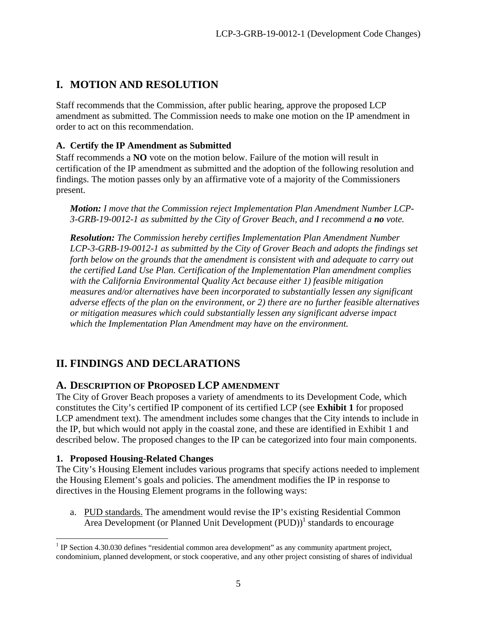# **I. MOTION AND RESOLUTION**

Staff recommends that the Commission, after public hearing, approve the proposed LCP amendment as submitted. The Commission needs to make one motion on the IP amendment in order to act on this recommendation.

#### **A. Certify the IP Amendment as Submitted**

Staff recommends a **NO** vote on the motion below. Failure of the motion will result in certification of the IP amendment as submitted and the adoption of the following resolution and findings. The motion passes only by an affirmative vote of a majority of the Commissioners present.

*Motion: I move that the Commission reject Implementation Plan Amendment Number LCP-3-GRB-19-0012-1 as submitted by the City of Grover Beach, and I recommend a no vote.* 

*Resolution: The Commission hereby certifies Implementation Plan Amendment Number LCP-3-GRB-19-0012-1 as submitted by the City of Grover Beach and adopts the findings set forth below on the grounds that the amendment is consistent with and adequate to carry out the certified Land Use Plan. Certification of the Implementation Plan amendment complies with the California Environmental Quality Act because either 1) feasible mitigation measures and/or alternatives have been incorporated to substantially lessen any significant adverse effects of the plan on the environment, or 2) there are no further feasible alternatives or mitigation measures which could substantially lessen any significant adverse impact which the Implementation Plan Amendment may have on the environment.* 

## **II. FINDINGS AND DECLARATIONS**

#### **A. DESCRIPTION OF PROPOSED LCP AMENDMENT**

The City of Grover Beach proposes a variety of amendments to its Development Code, which constitutes the City's certified IP component of its certified LCP (see **Exhibit 1** for proposed LCP amendment text). The amendment includes some changes that the City intends to include in the IP, but which would not apply in the coastal zone, and these are identified in Exhibit 1 and described below. The proposed changes to the IP can be categorized into four main components.

#### **1. Proposed Housing-Related Changes**

1

The City's Housing Element includes various programs that specify actions needed to implement the Housing Element's goals and policies. The amendment modifies the IP in response to directives in the Housing Element programs in the following ways:

a. PUD standards. The amendment would revise the IP's existing Residential Common Area Development (or Planned Unit Development (PUD))<sup>1</sup> standards to encourage

<sup>&</sup>lt;sup>1</sup> IP Section 4.30.030 defines "residential common area development" as any community apartment project, condominium, planned development, or stock cooperative, and any other project consisting of shares of individual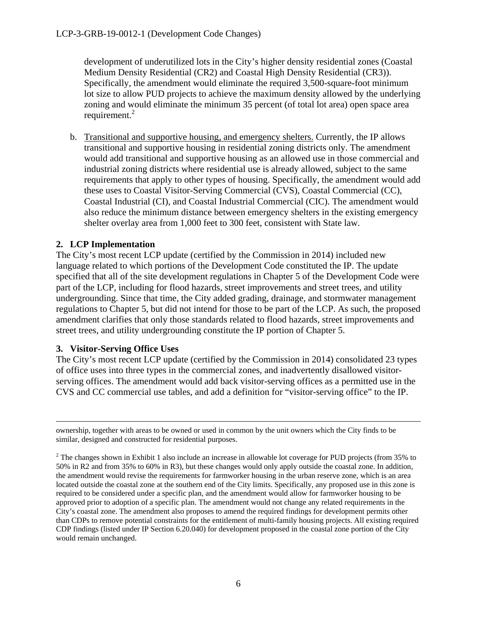development of underutilized lots in the City's higher density residential zones (Coastal Medium Density Residential (CR2) and Coastal High Density Residential (CR3)). Specifically, the amendment would eliminate the required 3,500-square-foot minimum lot size to allow PUD projects to achieve the maximum density allowed by the underlying zoning and would eliminate the minimum 35 percent (of total lot area) open space area requirement. $2$ 

b. Transitional and supportive housing, and emergency shelters. Currently, the IP allows transitional and supportive housing in residential zoning districts only. The amendment would add transitional and supportive housing as an allowed use in those commercial and industrial zoning districts where residential use is already allowed, subject to the same requirements that apply to other types of housing. Specifically, the amendment would add these uses to Coastal Visitor-Serving Commercial (CVS), Coastal Commercial (CC), Coastal Industrial (CI), and Coastal Industrial Commercial (CIC). The amendment would also reduce the minimum distance between emergency shelters in the existing emergency shelter overlay area from 1,000 feet to 300 feet, consistent with State law.

#### **2. LCP Implementation**

The City's most recent LCP update (certified by the Commission in 2014) included new language related to which portions of the Development Code constituted the IP. The update specified that all of the site development regulations in Chapter 5 of the Development Code were part of the LCP, including for flood hazards, street improvements and street trees, and utility undergrounding. Since that time, the City added grading, drainage, and stormwater management regulations to Chapter 5, but did not intend for those to be part of the LCP. As such, the proposed amendment clarifies that only those standards related to flood hazards, street improvements and street trees, and utility undergrounding constitute the IP portion of Chapter 5.

#### **3. Visitor-Serving Office Uses**

The City's most recent LCP update (certified by the Commission in 2014) consolidated 23 types of office uses into three types in the commercial zones, and inadvertently disallowed visitorserving offices. The amendment would add back visitor-serving offices as a permitted use in the CVS and CC commercial use tables, and add a definition for "visitor-serving office" to the IP.

ownership, together with areas to be owned or used in common by the unit owners which the City finds to be similar, designed and constructed for residential purposes.

 $2^2$  The changes shown in Exhibit 1 also include an increase in allowable lot coverage for PUD projects (from 35% to 50% in R2 and from 35% to 60% in R3), but these changes would only apply outside the coastal zone. In addition, the amendment would revise the requirements for farmworker housing in the urban reserve zone, which is an area located outside the coastal zone at the southern end of the City limits. Specifically, any proposed use in this zone is required to be considered under a specific plan, and the amendment would allow for farmworker housing to be approved prior to adoption of a specific plan. The amendment would not change any related requirements in the City's coastal zone. The amendment also proposes to amend the required findings for development permits other than CDPs to remove potential constraints for the entitlement of multi-family housing projects. All existing required CDP findings (listed under IP Section 6.20.040) for development proposed in the coastal zone portion of the City would remain unchanged.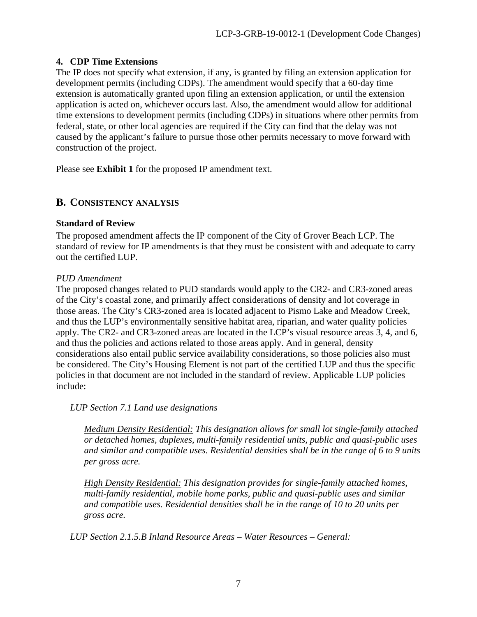#### **4. CDP Time Extensions**

The IP does not specify what extension, if any, is granted by filing an extension application for development permits (including CDPs). The amendment would specify that a 60-day time extension is automatically granted upon filing an extension application, or until the extension application is acted on, whichever occurs last. Also, the amendment would allow for additional time extensions to development permits (including CDPs) in situations where other permits from federal, state, or other local agencies are required if the City can find that the delay was not caused by the applicant's failure to pursue those other permits necessary to move forward with construction of the project.

Please see **Exhibit 1** for the proposed IP amendment text.

### **B. CONSISTENCY ANALYSIS**

#### **Standard of Review**

The proposed amendment affects the IP component of the City of Grover Beach LCP. The standard of review for IP amendments is that they must be consistent with and adequate to carry out the certified LUP.

#### *PUD Amendment*

The proposed changes related to PUD standards would apply to the CR2- and CR3-zoned areas of the City's coastal zone, and primarily affect considerations of density and lot coverage in those areas. The City's CR3-zoned area is located adjacent to Pismo Lake and Meadow Creek, and thus the LUP's environmentally sensitive habitat area, riparian, and water quality policies apply. The CR2- and CR3-zoned areas are located in the LCP's visual resource areas 3, 4, and 6, and thus the policies and actions related to those areas apply. And in general, density considerations also entail public service availability considerations, so those policies also must be considered. The City's Housing Element is not part of the certified LUP and thus the specific policies in that document are not included in the standard of review. Applicable LUP policies include:

#### *LUP Section 7.1 Land use designations*

*Medium Density Residential: This designation allows for small lot single-family attached or detached homes, duplexes, multi-family residential units, public and quasi-public uses and similar and compatible uses. Residential densities shall be in the range of 6 to 9 units per gross acre.* 

*High Density Residential: This designation provides for single-family attached homes, multi-family residential, mobile home parks, public and quasi-public uses and similar and compatible uses. Residential densities shall be in the range of 10 to 20 units per gross acre.* 

*LUP Section 2.1.5.B Inland Resource Areas – Water Resources – General:*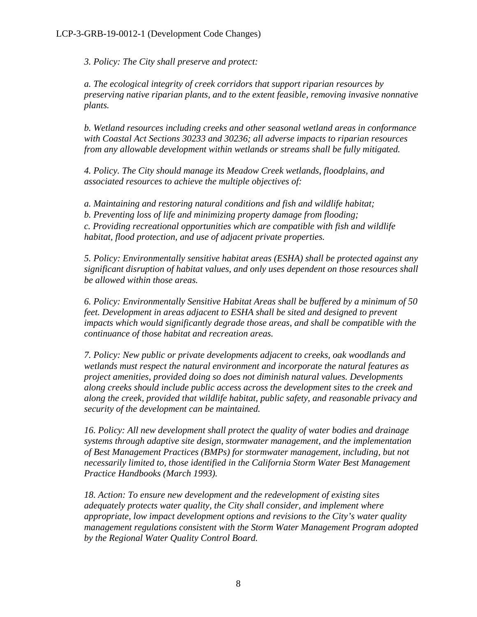*3. Policy: The City shall preserve and protect:* 

*a. The ecological integrity of creek corridors that support riparian resources by preserving native riparian plants, and to the extent feasible, removing invasive nonnative plants.* 

*b. Wetland resources including creeks and other seasonal wetland areas in conformance with Coastal Act Sections 30233 and 30236; all adverse impacts to riparian resources from any allowable development within wetlands or streams shall be fully mitigated.* 

*4. Policy. The City should manage its Meadow Creek wetlands, floodplains, and associated resources to achieve the multiple objectives of:* 

*a. Maintaining and restoring natural conditions and fish and wildlife habitat; b. Preventing loss of life and minimizing property damage from flooding; c. Providing recreational opportunities which are compatible with fish and wildlife habitat, flood protection, and use of adjacent private properties.* 

*5. Policy: Environmentally sensitive habitat areas (ESHA) shall be protected against any significant disruption of habitat values, and only uses dependent on those resources shall be allowed within those areas.* 

*6. Policy: Environmentally Sensitive Habitat Areas shall be buffered by a minimum of 50 feet. Development in areas adjacent to ESHA shall be sited and designed to prevent impacts which would significantly degrade those areas, and shall be compatible with the continuance of those habitat and recreation areas.* 

*7. Policy: New public or private developments adjacent to creeks, oak woodlands and wetlands must respect the natural environment and incorporate the natural features as project amenities, provided doing so does not diminish natural values. Developments along creeks should include public access across the development sites to the creek and along the creek, provided that wildlife habitat, public safety, and reasonable privacy and security of the development can be maintained.* 

*16. Policy: All new development shall protect the quality of water bodies and drainage systems through adaptive site design, stormwater management, and the implementation of Best Management Practices (BMPs) for stormwater management, including, but not necessarily limited to, those identified in the California Storm Water Best Management Practice Handbooks (March 1993).* 

*18. Action: To ensure new development and the redevelopment of existing sites adequately protects water quality, the City shall consider, and implement where appropriate, low impact development options and revisions to the City's water quality management regulations consistent with the Storm Water Management Program adopted by the Regional Water Quality Control Board.*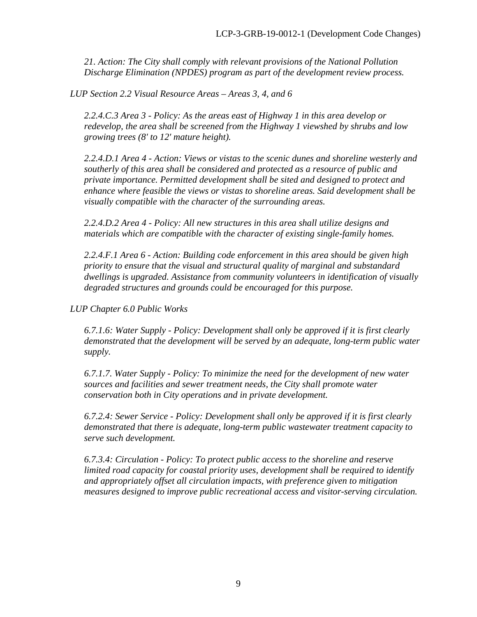*21. Action: The City shall comply with relevant provisions of the National Pollution Discharge Elimination (NPDES) program as part of the development review process.* 

*LUP Section 2.2 Visual Resource Areas – Areas 3, 4, and 6* 

*2.2.4.C.3 Area 3 - Policy: As the areas east of Highway 1 in this area develop or redevelop, the area shall be screened from the Highway 1 viewshed by shrubs and low growing trees (8' to 12' mature height).* 

*2.2.4.D.1 Area 4 - Action: Views or vistas to the scenic dunes and shoreline westerly and southerly of this area shall be considered and protected as a resource of public and private importance. Permitted development shall be sited and designed to protect and enhance where feasible the views or vistas to shoreline areas. Said development shall be visually compatible with the character of the surrounding areas.* 

*2.2.4.D.2 Area 4 - Policy: All new structures in this area shall utilize designs and materials which are compatible with the character of existing single-family homes.* 

*2.2.4.F.1 Area 6 - Action: Building code enforcement in this area should be given high priority to ensure that the visual and structural quality of marginal and substandard dwellings is upgraded. Assistance from community volunteers in identification of visually degraded structures and grounds could be encouraged for this purpose.* 

*LUP Chapter 6.0 Public Works* 

*6.7.1.6: Water Supply - Policy: Development shall only be approved if it is first clearly demonstrated that the development will be served by an adequate, long-term public water supply.* 

*6.7.1.7. Water Supply - Policy: To minimize the need for the development of new water sources and facilities and sewer treatment needs, the City shall promote water conservation both in City operations and in private development.* 

*6.7.2.4: Sewer Service - Policy: Development shall only be approved if it is first clearly demonstrated that there is adequate, long-term public wastewater treatment capacity to serve such development.* 

*6.7.3.4: Circulation - Policy: To protect public access to the shoreline and reserve limited road capacity for coastal priority uses, development shall be required to identify and appropriately offset all circulation impacts, with preference given to mitigation measures designed to improve public recreational access and visitor-serving circulation.*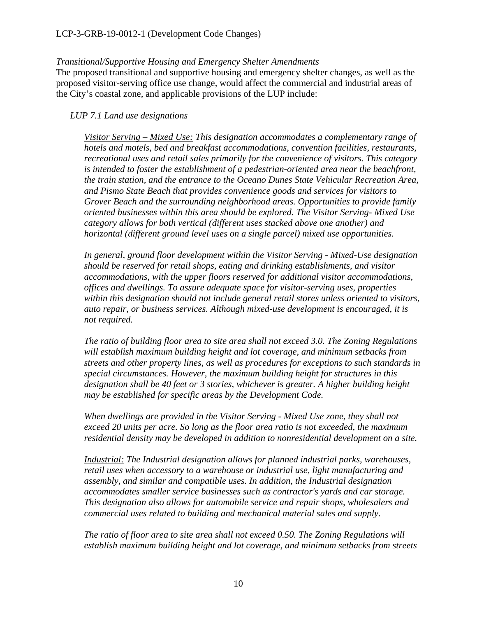#### *Transitional/Supportive Housing and Emergency Shelter Amendments*

The proposed transitional and supportive housing and emergency shelter changes, as well as the proposed visitor-serving office use change, would affect the commercial and industrial areas of the City's coastal zone, and applicable provisions of the LUP include:

#### *LUP 7.1 Land use designations*

*Visitor Serving – Mixed Use: This designation accommodates a complementary range of hotels and motels, bed and breakfast accommodations, convention facilities, restaurants, recreational uses and retail sales primarily for the convenience of visitors. This category is intended to foster the establishment of a pedestrian-oriented area near the beachfront, the train station, and the entrance to the Oceano Dunes State Vehicular Recreation Area, and Pismo State Beach that provides convenience goods and services for visitors to Grover Beach and the surrounding neighborhood areas. Opportunities to provide family oriented businesses within this area should be explored. The Visitor Serving- Mixed Use category allows for both vertical (different uses stacked above one another) and horizontal (different ground level uses on a single parcel) mixed use opportunities.* 

*In general, ground floor development within the Visitor Serving - Mixed-Use designation should be reserved for retail shops, eating and drinking establishments, and visitor accommodations, with the upper floors reserved for additional visitor accommodations, offices and dwellings. To assure adequate space for visitor-serving uses, properties within this designation should not include general retail stores unless oriented to visitors, auto repair, or business services. Although mixed-use development is encouraged, it is not required.* 

*The ratio of building floor area to site area shall not exceed 3.0. The Zoning Regulations will establish maximum building height and lot coverage, and minimum setbacks from streets and other property lines, as well as procedures for exceptions to such standards in special circumstances. However, the maximum building height for structures in this designation shall be 40 feet or 3 stories, whichever is greater. A higher building height may be established for specific areas by the Development Code.* 

*When dwellings are provided in the Visitor Serving - Mixed Use zone, they shall not exceed 20 units per acre. So long as the floor area ratio is not exceeded, the maximum residential density may be developed in addition to nonresidential development on a site.* 

*Industrial: The Industrial designation allows for planned industrial parks, warehouses, retail uses when accessory to a warehouse or industrial use, light manufacturing and assembly, and similar and compatible uses. In addition, the Industrial designation accommodates smaller service businesses such as contractor's yards and car storage. This designation also allows for automobile service and repair shops, wholesalers and commercial uses related to building and mechanical material sales and supply.* 

*The ratio of floor area to site area shall not exceed 0.50. The Zoning Regulations will establish maximum building height and lot coverage, and minimum setbacks from streets*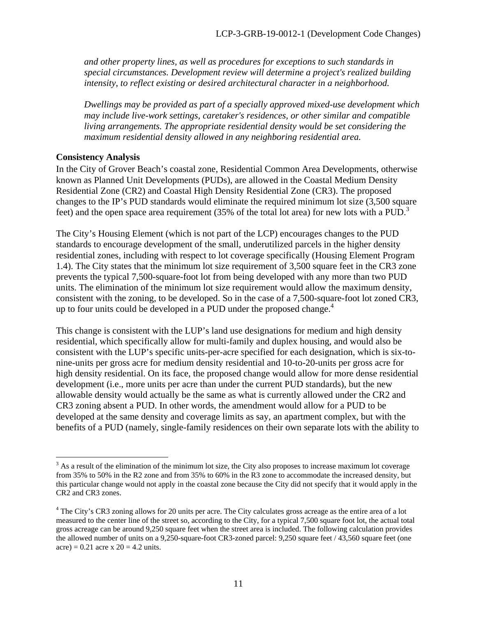*and other property lines, as well as procedures for exceptions to such standards in special circumstances. Development review will determine a project's realized building intensity, to reflect existing or desired architectural character in a neighborhood.* 

*Dwellings may be provided as part of a specially approved mixed-use development which may include live-work settings, caretaker's residences, or other similar and compatible living arrangements. The appropriate residential density would be set considering the maximum residential density allowed in any neighboring residential area.* 

#### **Consistency Analysis**

1

In the City of Grover Beach's coastal zone, Residential Common Area Developments, otherwise known as Planned Unit Developments (PUDs), are allowed in the Coastal Medium Density Residential Zone (CR2) and Coastal High Density Residential Zone (CR3). The proposed changes to the IP's PUD standards would eliminate the required minimum lot size (3,500 square feet) and the open space area requirement (35% of the total lot area) for new lots with a PUD.<sup>3</sup>

The City's Housing Element (which is not part of the LCP) encourages changes to the PUD standards to encourage development of the small, underutilized parcels in the higher density residential zones, including with respect to lot coverage specifically (Housing Element Program 1.4). The City states that the minimum lot size requirement of 3,500 square feet in the CR3 zone prevents the typical 7,500-square-foot lot from being developed with any more than two PUD units. The elimination of the minimum lot size requirement would allow the maximum density, consistent with the zoning, to be developed. So in the case of a 7,500-square-foot lot zoned CR3, up to four units could be developed in a PUD under the proposed change.<sup>4</sup>

This change is consistent with the LUP's land use designations for medium and high density residential, which specifically allow for multi-family and duplex housing, and would also be consistent with the LUP's specific units-per-acre specified for each designation, which is six-tonine-units per gross acre for medium density residential and 10-to-20-units per gross acre for high density residential. On its face, the proposed change would allow for more dense residential development (i.e., more units per acre than under the current PUD standards), but the new allowable density would actually be the same as what is currently allowed under the CR2 and CR3 zoning absent a PUD. In other words, the amendment would allow for a PUD to be developed at the same density and coverage limits as say, an apartment complex, but with the benefits of a PUD (namely, single-family residences on their own separate lots with the ability to

 $3$  As a result of the elimination of the minimum lot size, the City also proposes to increase maximum lot coverage from 35% to 50% in the R2 zone and from 35% to 60% in the R3 zone to accommodate the increased density, but this particular change would not apply in the coastal zone because the City did not specify that it would apply in the CR2 and CR3 zones.

<sup>&</sup>lt;sup>4</sup> The City's CR3 zoning allows for 20 units per acre. The City calculates gross acreage as the entire area of a lot measured to the center line of the street so, according to the City, for a typical 7,500 square foot lot, the actual total gross acreage can be around 9,250 square feet when the street area is included. The following calculation provides the allowed number of units on a 9,250-square-foot CR3-zoned parcel: 9,250 square feet / 43,560 square feet (one  $|a| = 0.21$  acre x  $20 = 4.2$  units.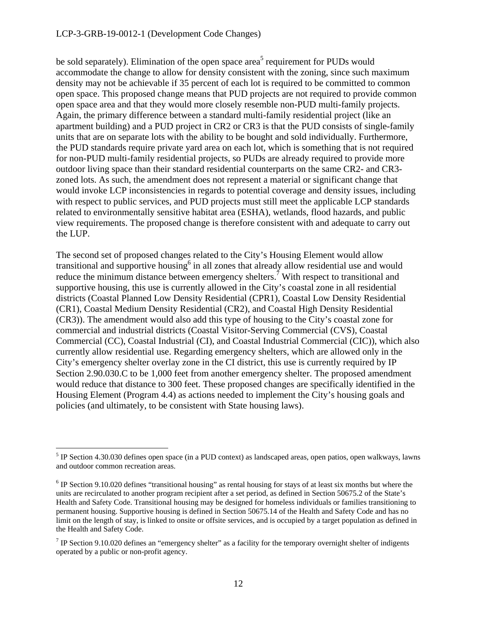#### LCP-3-GRB-19-0012-1 (Development Code Changes)

be sold separately). Elimination of the open space area<sup>5</sup> requirement for PUDs would accommodate the change to allow for density consistent with the zoning, since such maximum density may not be achievable if 35 percent of each lot is required to be committed to common open space. This proposed change means that PUD projects are not required to provide common open space area and that they would more closely resemble non-PUD multi-family projects. Again, the primary difference between a standard multi-family residential project (like an apartment building) and a PUD project in CR2 or CR3 is that the PUD consists of single-family units that are on separate lots with the ability to be bought and sold individually. Furthermore, the PUD standards require private yard area on each lot, which is something that is not required for non-PUD multi-family residential projects, so PUDs are already required to provide more outdoor living space than their standard residential counterparts on the same CR2- and CR3 zoned lots. As such, the amendment does not represent a material or significant change that would invoke LCP inconsistencies in regards to potential coverage and density issues, including with respect to public services, and PUD projects must still meet the applicable LCP standards related to environmentally sensitive habitat area (ESHA), wetlands, flood hazards, and public view requirements. The proposed change is therefore consistent with and adequate to carry out the LUP.

The second set of proposed changes related to the City's Housing Element would allow transitional and supportive housing  $6$  in all zones that already allow residential use and would reduce the minimum distance between emergency shelters.<sup>7</sup> With respect to transitional and supportive housing, this use is currently allowed in the City's coastal zone in all residential districts (Coastal Planned Low Density Residential (CPR1), Coastal Low Density Residential (CR1), Coastal Medium Density Residential (CR2), and Coastal High Density Residential (CR3)). The amendment would also add this type of housing to the City's coastal zone for commercial and industrial districts (Coastal Visitor-Serving Commercial (CVS), Coastal Commercial (CC), Coastal Industrial (CI), and Coastal Industrial Commercial (CIC)), which also currently allow residential use. Regarding emergency shelters, which are allowed only in the City's emergency shelter overlay zone in the CI district, this use is currently required by IP Section 2.90.030.C to be 1,000 feet from another emergency shelter. The proposed amendment would reduce that distance to 300 feet. These proposed changes are specifically identified in the Housing Element (Program 4.4) as actions needed to implement the City's housing goals and policies (and ultimately, to be consistent with State housing laws).

 $\overline{a}$ 

 $<sup>5</sup>$  IP Section 4.30.030 defines open space (in a PUD context) as landscaped areas, open patios, open walkways, lawns</sup> and outdoor common recreation areas.

 $6$  IP Section 9.10.020 defines "transitional housing" as rental housing for stays of at least six months but where the units are recirculated to another program recipient after a set period, as defined in Section 50675.2 of the State's Health and Safety Code. Transitional housing may be designed for homeless individuals or families transitioning to permanent housing. Supportive housing is defined in Section 50675.14 of the Health and Safety Code and has no limit on the length of stay, is linked to onsite or offsite services, and is occupied by a target population as defined in the Health and Safety Code.

<sup>&</sup>lt;sup>7</sup> IP Section 9.10.020 defines an "emergency shelter" as a facility for the temporary overnight shelter of indigents operated by a public or non-profit agency.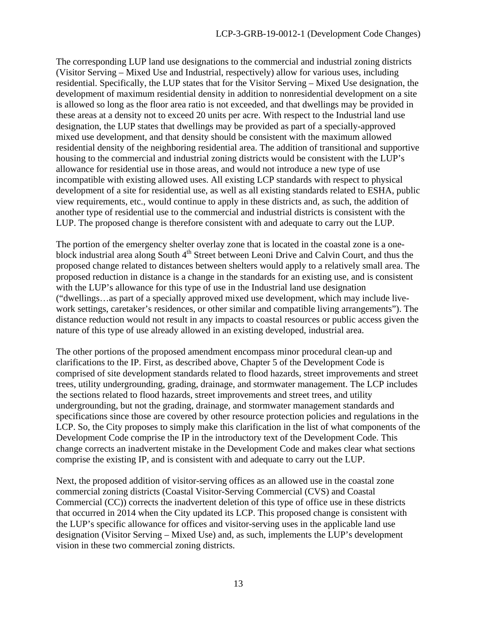The corresponding LUP land use designations to the commercial and industrial zoning districts (Visitor Serving – Mixed Use and Industrial, respectively) allow for various uses, including residential. Specifically, the LUP states that for the Visitor Serving – Mixed Use designation, the development of maximum residential density in addition to nonresidential development on a site is allowed so long as the floor area ratio is not exceeded, and that dwellings may be provided in these areas at a density not to exceed 20 units per acre. With respect to the Industrial land use designation, the LUP states that dwellings may be provided as part of a specially-approved mixed use development, and that density should be consistent with the maximum allowed residential density of the neighboring residential area. The addition of transitional and supportive housing to the commercial and industrial zoning districts would be consistent with the LUP's allowance for residential use in those areas, and would not introduce a new type of use incompatible with existing allowed uses. All existing LCP standards with respect to physical development of a site for residential use, as well as all existing standards related to ESHA, public view requirements, etc., would continue to apply in these districts and, as such, the addition of another type of residential use to the commercial and industrial districts is consistent with the LUP. The proposed change is therefore consistent with and adequate to carry out the LUP.

The portion of the emergency shelter overlay zone that is located in the coastal zone is a oneblock industrial area along South 4<sup>th</sup> Street between Leoni Drive and Calvin Court, and thus the proposed change related to distances between shelters would apply to a relatively small area. The proposed reduction in distance is a change in the standards for an existing use, and is consistent with the LUP's allowance for this type of use in the Industrial land use designation ("dwellings…as part of a specially approved mixed use development, which may include livework settings, caretaker's residences, or other similar and compatible living arrangements"). The distance reduction would not result in any impacts to coastal resources or public access given the nature of this type of use already allowed in an existing developed, industrial area.

The other portions of the proposed amendment encompass minor procedural clean-up and clarifications to the IP. First, as described above, Chapter 5 of the Development Code is comprised of site development standards related to flood hazards, street improvements and street trees, utility undergrounding, grading, drainage, and stormwater management. The LCP includes the sections related to flood hazards, street improvements and street trees, and utility undergrounding, but not the grading, drainage, and stormwater management standards and specifications since those are covered by other resource protection policies and regulations in the LCP. So, the City proposes to simply make this clarification in the list of what components of the Development Code comprise the IP in the introductory text of the Development Code. This change corrects an inadvertent mistake in the Development Code and makes clear what sections comprise the existing IP, and is consistent with and adequate to carry out the LUP.

Next, the proposed addition of visitor-serving offices as an allowed use in the coastal zone commercial zoning districts (Coastal Visitor-Serving Commercial (CVS) and Coastal Commercial (CC)) corrects the inadvertent deletion of this type of office use in these districts that occurred in 2014 when the City updated its LCP. This proposed change is consistent with the LUP's specific allowance for offices and visitor-serving uses in the applicable land use designation (Visitor Serving – Mixed Use) and, as such, implements the LUP's development vision in these two commercial zoning districts.